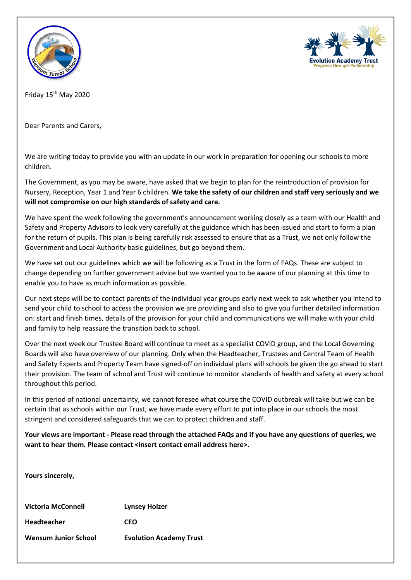



Friday 15th May 2020

Dear Parents and Carers,

We are writing today to provide you with an update in our work in preparation for opening our schools to more children.

The Government, as you may be aware, have asked that we begin to plan for the reintroduction of provision for Nursery, Reception, Year 1 and Year 6 children. **We take the safety of our children and staff very seriously and we will not compromise on our high standards of safety and care.**

We have spent the week following the government's announcement working closely as a team with our Health and Safety and Property Advisors to look very carefully at the guidance which has been issued and start to form a plan for the return of pupils. This plan is being carefully risk assessed to ensure that as a Trust, we not only follow the Government and Local Authority basic guidelines, but go beyond them.

We have set out our guidelines which we will be following as a Trust in the form of FAQs. These are subject to change depending on further government advice but we wanted you to be aware of our planning at this time to enable you to have as much information as possible.

Our next steps will be to contact parents of the individual year groups early next week to ask whether you intend to send your child to school to access the provision we are providing and also to give you further detailed information on: start and finish times, details of the provision for your child and communications we will make with your child and family to help reassure the transition back to school.

Over the next week our Trustee Board will continue to meet as a specialist COVID group, and the Local Governing Boards will also have overview of our planning. Only when the Headteacher, Trustees and Central Team of Health and Safety Experts and Property Team have signed-off on individual plans will schools be given the go ahead to start their provision. The team of school and Trust will continue to monitor standards of health and safety at every school throughout this period.

In this period of national uncertainty, we cannot foresee what course the COVID outbreak will take but we can be certain that as schools within our Trust, we have made every effort to put into place in our schools the most stringent and considered safeguards that we can to protect children and staff.

**Your views are important - Please read through the attached FAQs and if you have any questions of queries, we want to hear them. Please contact <insert contact email address here>.**

**Yours sincerely,**

**Victoria McConnell Lynsey Holzer Headteacher CEO Wensum Junior School Evolution Academy Trust**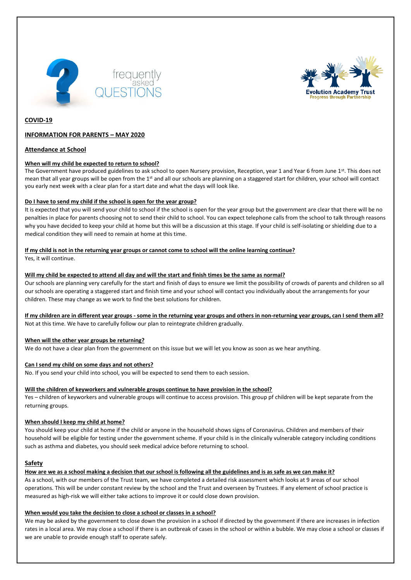



# **COVID-19**

# **INFORMATION FOR PARENTS – MAY 2020**

# **Attendance at School**

### **When will my child be expected to return to school?**

The Government have produced guidelines to ask school to open Nursery provision, Reception, year 1 and Year 6 from June 1st. This does not mean that all year groups will be open from the 1st and all our schools are planning on a staggered start for children, your school will contact you early next week with a clear plan for a start date and what the days will look like.

### **Do I have to send my child if the school is open for the year group?**

It is expected that you will send your child to school if the school is open for the year group but the government are clear that there will be no penalties in place for parents choosing not to send their child to school. You can expect telephone calls from the school to talk through reasons why you have decided to keep your child at home but this will be a discussion at this stage. If your child is self-isolating or shielding due to a medical condition they will need to remain at home at this time.

#### **If my child is not in the returning year groups or cannot come to school will the online learning continue?**

Yes, it will continue.

### **Will my child be expected to attend all day and will the start and finish times be the same as normal?**

Our schools are planning very carefully for the start and finish of days to ensure we limit the possibility of crowds of parents and children so all our schools are operating a staggered start and finish time and your school will contact you individually about the arrangements for your children. These may change as we work to find the best solutions for children.

**If my children are in different year groups - some in the returning year groups and others in non-returning year groups, can I send them all?** Not at this time. We have to carefully follow our plan to reintegrate children gradually.

### **When will the other year groups be returning?**

We do not have a clear plan from the government on this issue but we will let you know as soon as we hear anything.

### **Can I send my child on some days and not others?**

No. If you send your child into school, you will be expected to send them to each session.

### **Will the children of keyworkers and vulnerable groups continue to have provision in the school?**

Yes – children of keyworkers and vulnerable groups will continue to access provision. This group pf children will be kept separate from the returning groups.

### **When should I keep my child at home?**

You should keep your child at home if the child or anyone in the household shows signs of Coronavirus. Children and members of their household will be eligible for testing under the government scheme. If your child is in the clinically vulnerable category including conditions such as asthma and diabetes, you should seek medical advice before returning to school.

### **Safety**

**How are we as a school making a decision that our school is following all the guidelines and is as safe as we can make it?**

As a school, with our members of the Trust team, we have completed a detailed risk assessment which looks at 9 areas of our school operations. This will be under constant review by the school and the Trust and overseen by Trustees. If any element of school practice is measured as high-risk we will either take actions to improve it or could close down provision.

### **When would you take the decision to close a school or classes in a school?**

We may be asked by the government to close down the provision in a school if directed by the government if there are increases in infection rates in a local area. We may close a school if there is an outbreak of cases in the school or within a bubble. We may close a school or classes if we are unable to provide enough staff to operate safely.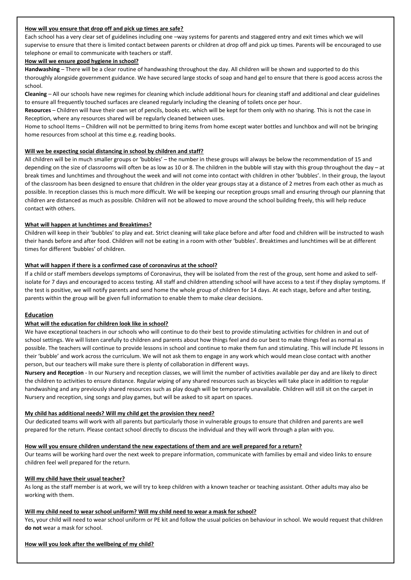### **How will you ensure that drop off and pick up times are safe?**

Each school has a very clear set of guidelines including one –way systems for parents and staggered entry and exit times which we will supervise to ensure that there is limited contact between parents or children at drop off and pick up times. Parents will be encouraged to use telephone or email to communicate with teachers or staff.

#### **How will we ensure good hygiene in school?**

**Handwashing** – There will be a clear routine of handwashing throughout the day. All children will be shown and supported to do this thoroughly alongside government guidance. We have secured large stocks of soap and hand gel to ensure that there is good access across the school.

**Cleaning** – All our schools have new regimes for cleaning which include additional hours for cleaning staff and additional and clear guidelines to ensure all frequently touched surfaces are cleaned regularly including the cleaning of toilets once per hour.

**Resources** – Children will have their own set of pencils, books etc. which will be kept for them only with no sharing. This is not the case in Reception, where any resources shared will be regularly cleaned between uses.

Home to school Items – Children will not be permitted to bring items from home except water bottles and lunchbox and will not be bringing home resources from school at this time e.g. reading books.

#### **Will we be expecting social distancing in school by children and staff?**

All children will be in much smaller groups or 'bubbles' – the number in these groups will always be below the recommendation of 15 and depending on the size of classrooms will often be as low as 10 or 8. The children in the bubble will stay with this group throughout the day – at break times and lunchtimes and throughout the week and will not come into contact with children in other 'bubbles'. In their group, the layout of the classroom has been designed to ensure that children in the older year groups stay at a distance of 2 metres from each other as much as possible. In reception classes this is much more difficult. We will be keeping our reception groups small and ensuring through our planning that children are distanced as much as possible. Children will not be allowed to move around the school building freely, this will help reduce contact with others.

# **What will happen at lunchtimes and Breaktimes?**

Children will keep in their 'bubbles' to play and eat. Strict cleaning will take place before and after food and children will be instructed to wash their hands before and after food. Children will not be eating in a room with other 'bubbles'. Breaktimes and lunchtimes will be at different times for different 'bubbles' of children.

### **What will happen if there is a confirmed case of coronavirus at the school?**

If a child or staff members develops symptoms of Coronavirus, they will be isolated from the rest of the group, sent home and asked to selfisolate for 7 days and encouraged to access testing. All staff and children attending school will have access to a test if they display symptoms. If the test is positive, we will notify parents and send home the whole group of children for 14 days. At each stage, before and after testing, parents within the group will be given full information to enable them to make clear decisions.

# **Education**

### **What will the education for children look like in school?**

We have exceptional teachers in our schools who will continue to do their best to provide stimulating activities for children in and out of school settings. We will listen carefully to children and parents about how things feel and do our best to make things feel as normal as possible. The teachers will continue to provide lessons in school and continue to make them fun and stimulating. This will include PE lessons in their 'bubble' and work across the curriculum. We will not ask them to engage in any work which would mean close contact with another person, but our teachers will make sure there is plenty of collaboration in different ways.

**Nursery and Reception** - In our Nursery and reception classes, we will limit the number of activities available per day and are likely to direct the children to activities to ensure distance. Regular wiping of any shared resources such as bicycles will take place in addition to regular handwashing and any previously shared resources such as play dough will be temporarily unavailable. Children will still sit on the carpet in Nursery and reception, sing songs and play games, but will be asked to sit apart on spaces.

### **My child has additional needs? Will my child get the provision they need?**

Our dedicated teams will work with all parents but particularly those in vulnerable groups to ensure that children and parents are well prepared for the return. Please contact school directly to discuss the individual and they will work through a plan with you.

### **How will you ensure children understand the new expectations of them and are well prepared for a return?**

Our teams will be working hard over the next week to prepare information, communicate with families by email and video links to ensure children feel well prepared for the return.

### **Will my child have their usual teacher?**

As long as the staff member is at work, we will try to keep children with a known teacher or teaching assistant. Other adults may also be working with them.

### **Will my child need to wear school uniform? Will my child need to wear a mask for school?**

Yes, your child will need to wear school uniform or PE kit and follow the usual policies on behaviour in school. We would request that children **do not** wear a mask for school.

### **How will you look after the wellbeing of my child?**